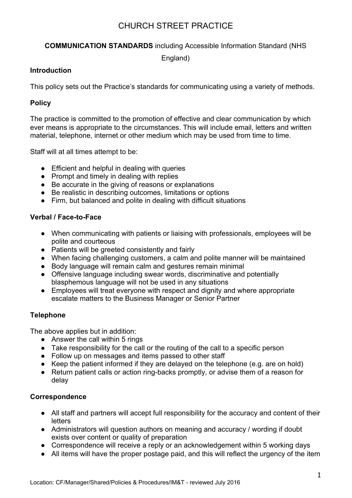## **COMMUNICATION STANDARDS** including Accessible Information Standard (NHS

England)

#### **Introduction**

This policy sets out the Practice's standards for communicating using a variety of methods.

## **Policy**

The practice is committed to the promotion of effective and clear communication by which ever means is appropriate to the circumstances. This will include email, letters and written material, telephone, internet or other medium which may be used from time to time.

Staff will at all times attempt to be:

- Efficient and helpful in dealing with queries
- Prompt and timely in dealing with replies
- Be accurate in the giving of reasons or explanations
- Be realistic in describing outcomes, limitations or options
- Firm, but balanced and polite in dealing with difficult situations

### **Verbal / Face-to-Face**

- When communicating with patients or liaising with professionals, employees will be polite and courteous
- Patients will be greeted consistently and fairly
- When facing challenging customers, a calm and polite manner will be maintained
- Body language will remain calm and gestures remain minimal
- Offensive language including swear words, discriminative and potentially blasphemous language will not be used in any situations
- Employees will treat everyone with respect and dignity and where appropriate escalate matters to the Business Manager or Senior Partner

## **Telephone**

The above applies but in addition:

- Answer the call within 5 rings
- Take responsibility for the call or the routing of the call to a specific person
- Follow up on messages and items passed to other staff
- Keep the patient informed if they are delayed on the telephone (e.g. are on hold)
- Return patient calls or action ring-backs promptly, or advise them of a reason for delay

#### **Correspondence**

- All staff and partners will accept full responsibility for the accuracy and content of their letters
- Administrators will question authors on meaning and accuracy / wording if doubt exists over content or quality of preparation
- Correspondence will receive a reply or an acknowledgement within 5 working days
- All items will have the proper postage paid, and this will reflect the urgency of the item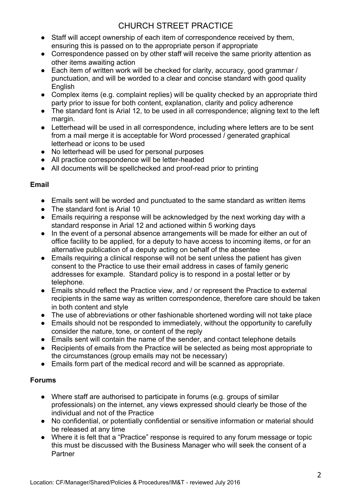- Staff will accept ownership of each item of correspondence received by them, ensuring this is passed on to the appropriate person if appropriate
- Correspondence passed on by other staff will receive the same priority attention as other items awaiting action
- Each item of written work will be checked for clarity, accuracy, good grammar / punctuation, and will be worded to a clear and concise standard with good quality **English**
- Complex items (e.g. complaint replies) will be quality checked by an appropriate third party prior to issue for both content, explanation, clarity and policy adherence
- The standard font is Arial 12, to be used in all correspondence; aligning text to the left margin.
- Letterhead will be used in all correspondence, including where letters are to be sent from a mail merge it is acceptable for Word processed / generated graphical letterhead or icons to be used
- No letterhead will be used for personal purposes
- All practice correspondence will be letter-headed
- All documents will be spellchecked and proof-read prior to printing

## **Email**

- Emails sent will be worded and punctuated to the same standard as written items
- The standard font is Arial 10
- Emails requiring a response will be acknowledged by the next working day with a standard response in Arial 12 and actioned within 5 working days
- In the event of a personal absence arrangements will be made for either an out of office facility to be applied, for a deputy to have access to incoming items, or for an alternative publication of a deputy acting on behalf of the absentee
- Emails requiring a clinical response will not be sent unless the patient has given consent to the Practice to use their email address in cases of family generic addresses for example. Standard policy is to respond in a postal letter or by telephone.
- Emails should reflect the Practice view, and / or represent the Practice to external recipients in the same way as written correspondence, therefore care should be taken in both content and style
- The use of abbreviations or other fashionable shortened wording will not take place
- Emails should not be responded to immediately, without the opportunity to carefully consider the nature, tone, or content of the reply
- Emails sent will contain the name of the sender, and contact telephone details
- Recipients of emails from the Practice will be selected as being most appropriate to the circumstances (group emails may not be necessary)
- Emails form part of the medical record and will be scanned as appropriate.

## **Forums**

- Where staff are authorised to participate in forums (e.g. groups of similar professionals) on the internet, any views expressed should clearly be those of the individual and not of the Practice
- No confidential, or potentially confidential or sensitive information or material should be released at any time
- Where it is felt that a "Practice" response is required to any forum message or topic this must be discussed with the Business Manager who will seek the consent of a **Partner**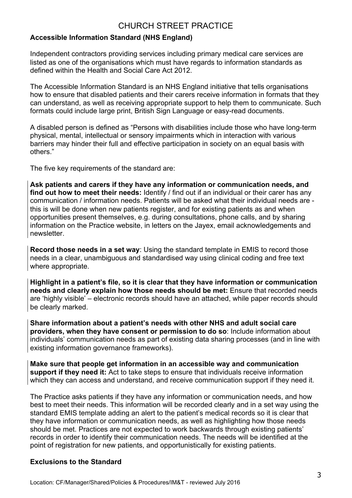## **Accessible Information Standard (NHS England)**

Independent contractors providing services including primary medical care services are listed as one of the organisations which must have regards to information standards as defined within the Health and Social Care Act 2012.

The Accessible Information Standard is an NHS England initiative that tells organisations how to ensure that disabled patients and their carers receive information in formats that they can understand, as well as receiving appropriate support to help them to communicate. Such formats could include large print, British Sign Language or easy-read documents.

A disabled person is defined as "Persons with disabilities include those who have long-term physical, mental, intellectual or sensory impairments which in interaction with various barriers may hinder their full and effective participation in society on an equal basis with others."

The five key requirements of the standard are:

**Ask patients and carers if they have any information or communication needs, and find out how to meet their needs:** Identify / find out if an individual or their carer has any communication / information needs. Patients will be asked what their individual needs are this is will be done when new patients register, and for existing patients as and when opportunities present themselves, e.g. during consultations, phone calls, and by sharing information on the Practice website, in letters on the Jayex, email acknowledgements and newsletter.

**Record those needs in a set way**: Using the standard template in EMIS to record those needs in a clear, unambiguous and standardised way using clinical coding and free text where appropriate.

**Highlight in a patient's file, so it is clear that they have information or communication needs and clearly explain how those needs should be met:** Ensure that recorded needs are 'highly visible' – electronic records should have an attached, while paper records should be clearly marked.

**Share information about a patient's needs with other NHS and adult social care providers, when they have consent or permission to do so**: Include information about individuals' communication needs as part of existing data sharing processes (and in line with existing information governance frameworks).

**Make sure that people get information in an accessible way and communication support if they need it:** Act to take steps to ensure that individuals receive information which they can access and understand, and receive communication support if they need it.

The Practice asks patients if they have any information or communication needs, and how best to meet their needs. This information will be recorded clearly and in a set way using the standard EMIS template adding an alert to the patient's medical records so it is clear that they have information or communication needs, as well as highlighting how those needs should be met. Practices are not expected to work backwards through existing patients' records in order to identify their communication needs. The needs will be identified at the point of registration for new patients, and opportunistically for existing patients.

#### **Exclusions to the Standard**